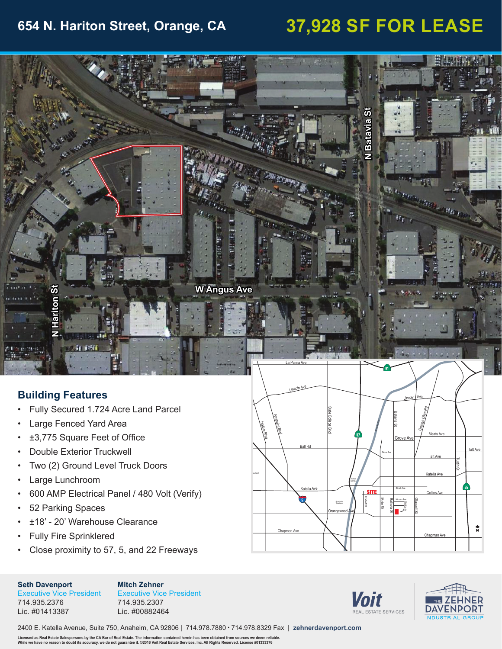## **654 N. Hariton Street, Orange, CA 37,928 SF FOR LEASE**



### **Building Features**

- Fully Secured 1.724 Acre Land Parcel
- Large Fenced Yard Area
- ±3,775 Square Feet of Office
- Double Exterior Truckwell
- Two (2) Ground Level Truck Doors
- Large Lunchroom
- 600 AMP Electrical Panel / 480 Volt (Verify)
- 52 Parking Spaces
- ±18' 20' Warehouse Clearance
- Fully Fire Sprinklered
- Close proximity to 57, 5, and 22 Freeways

### **Seth Davenport** Executive Vice President

**Mitch Zehner** Executive Vice President 714.935.2307



Lic. #00882464







2400 E. Katella Avenue, Suite 750, Anaheim, CA 92806 | 714.978.7880 • 714.978.8329 Fax | **zehnerdavenport.com**

Licensed as Real Estate Salespersons by the CA Bur of Real Estate. The information contained herein has been obtained from sources we deem reliable.<br>While we have no reason to doubt its accuracy, we do not guarantee it. ©2